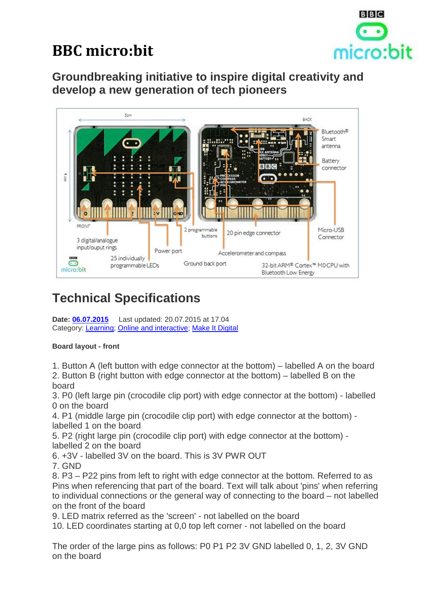

# **BBC micro:bit**

**Groundbreaking initiative to inspire digital creativity and develop a new generation of tech pioneers**



# **Technical Specifications**

**Date: 06.07.2015** Last updated: 20.07.2015 at 17.04 Category: Learning; Online and interactive; Make It Digital

## **Board layout - front**

1. Button A (left button with edge connector at the bottom) – labelled A on the board

2. Button B (right button with edge connector at the bottom) – labelled B on the board

3. P0 (left large pin (crocodile clip port) with edge connector at the bottom) - labelled 0 on the board

4. P1 (middle large pin (crocodile clip port) with edge connector at the bottom) labelled 1 on the board

5. P2 (right large pin (crocodile clip port) with edge connector at the bottom) labelled 2 on the board

6. +3V - labelled 3V on the board. This is 3V PWR OUT

7. GND

8. P3 – P22 pins from left to right with edge connector at the bottom. Referred to as Pins when referencing that part of the board. Text will talk about 'pins' when referring to individual connections or the general way of connecting to the board – not labelled on the front of the board

9. LED matrix referred as the 'screen' - not labelled on the board

10. LED coordinates starting at 0,0 top left corner - not labelled on the board

The order of the large pins as follows: P0 P1 P2 3V GND labelled 0, 1, 2, 3V GND on the board